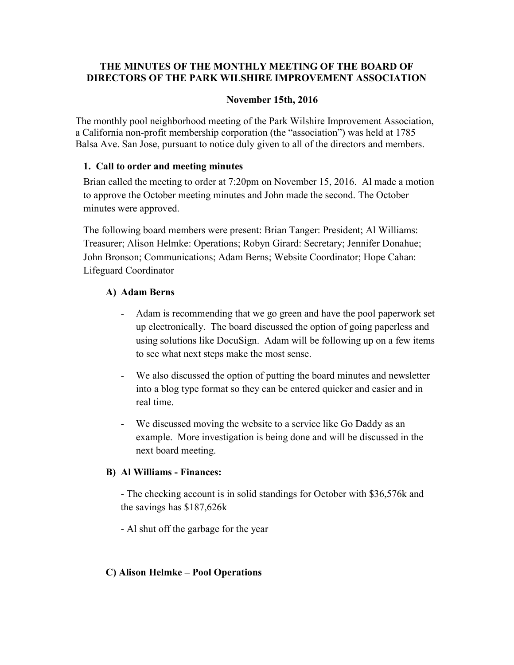# THE MINUTES OF THE MONTHLY MEETING OF THE BOARD OF DIRECTORS OF THE PARK WILSHIRE IMPROVEMENT ASSOCIATION

#### November 15th, 2016

The monthly pool neighborhood meeting of the Park Wilshire Improvement Association, a California non-profit membership corporation (the "association") was held at 1785 Balsa Ave. San Jose, pursuant to notice duly given to all of the directors and members.

## 1. Call to order and meeting minutes

Brian called the meeting to order at 7:20pm on November 15, 2016. Al made a motion to approve the October meeting minutes and John made the second. The October minutes were approved.

The following board members were present: Brian Tanger: President; Al Williams: Treasurer; Alison Helmke: Operations; Robyn Girard: Secretary; Jennifer Donahue; John Bronson; Communications; Adam Berns; Website Coordinator; Hope Cahan: Lifeguard Coordinator

## A) Adam Berns

- Adam is recommending that we go green and have the pool paperwork set up electronically. The board discussed the option of going paperless and using solutions like DocuSign. Adam will be following up on a few items to see what next steps make the most sense.
- We also discussed the option of putting the board minutes and newsletter into a blog type format so they can be entered quicker and easier and in real time.
- We discussed moving the website to a service like Go Daddy as an example. More investigation is being done and will be discussed in the next board meeting.

# B) Al Williams - Finances:

- The checking account is in solid standings for October with \$36,576k and the savings has \$187,626k

- Al shut off the garbage for the year

# C) Alison Helmke – Pool Operations